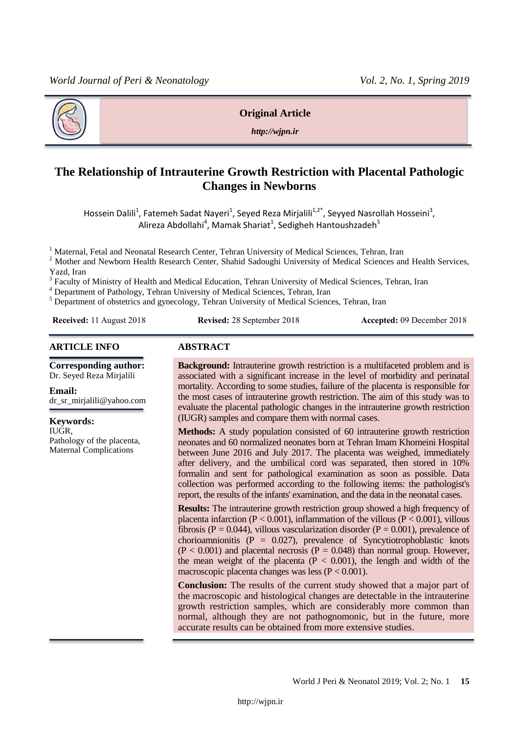

#### **Original Article**

*http://wjpn.ir*

# **The Relationship of Intrauterine Growth Restriction with Placental Pathologic Changes in Newborns**

Hossein Dalili<sup>1</sup>, Fatemeh Sadat Nayeri<sup>1</sup>, Seyed Reza Mirjalili<sup>1,2\*</sup>, Seyyed Nasrollah Hosseini<sup>3</sup>, Alireza Abdollahi<sup>4</sup>, Mamak Shariat<sup>1</sup>, Sedigheh Hantoushzadeh<sup>5</sup>

<sup>1</sup> Maternal, Fetal and Neonatal Research Center, Tehran University of Medical Sciences, Tehran, Iran

<sup>2</sup> Mother and Newborn Health Research Center, Shahid Sadoughi University of Medical Sciences and Health Services, Yazd, Iran

<sup>3</sup> Faculty of Ministry of Health and Medical Education, Tehran University of Medical Sciences, Tehran, Iran

<sup>4</sup> Department of Pathology, Tehran University of Medical Sciences, Tehran, Iran

 $<sup>5</sup>$  Department of obstetrics and gynecology, Tehran University of Medical Sciences, Tehran, Iran</sup>

**Received:** 11 August 2018 **Revised:** 28 September 2018 **Accepted:** 09 December 2018

#### **ARTICLE INFO ABSTRACT**

**Corresponding author:** Dr. Seyed Reza Mirjalili

**Email:**  dr\_sr\_mirjalili@yahoo.com

**Keywords:**  IUGR, Pathology of the placenta, Maternal Complications

**Background:** Intrauterine growth restriction is a multifaceted problem and is associated with a significant increase in the level of morbidity and perinatal mortality. According to some studies, failure of the placenta is responsible for the most cases of intrauterine growth restriction. The aim of this study was to evaluate the placental pathologic changes in the intrauterine growth restriction (IUGR) samples and compare them with normal cases.

**Methods:** A study population consisted of 60 intrauterine growth restriction neonates and 60 normalized neonates born at Tehran Imam Khomeini Hospital between June 2016 and July 2017. The placenta was weighed, immediately after delivery, and the umbilical cord was separated, then stored in 10% formalin and sent for pathological examination as soon as possible. Data collection was performed according to the following items: the pathologist's report, the results of the infants' examination, and the data in the neonatal cases.

**Results:** The intrauterine growth restriction group showed a high frequency of placenta infarction ( $P < 0.001$ ), inflammation of the villous ( $P < 0.001$ ), villous fibrosis (P = 0.044), villous vascularization disorder (P = 0.001), prevalence of chorioamnionitis ( $P = 0.027$ ), prevalence of Syncytiotrophoblastic knots  $(P < 0.001)$  and placental necrosis  $(P = 0.048)$  than normal group. However, the mean weight of the placenta  $(P < 0.001)$ , the length and width of the macroscopic placenta changes was less  $(P < 0.001)$ .

**Conclusion:** The results of the current study showed that a major part of the macroscopic and histological changes are detectable in the intrauterine growth restriction samples, which are considerably more common than normal, although they are not pathognomonic, but in the future, more accurate results can be obtained from more extensive studies.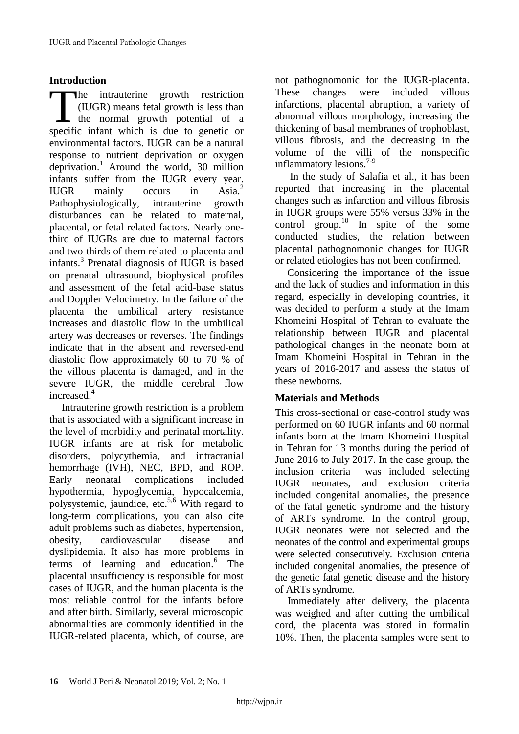# **Introduction**

he intrauterine growth restriction (IUGR) means fetal growth is less than  $\mathsf{\mathsf{L}}$  the normal growth potential of a The intrauterine growth restriction<br>
(IUGR) means fetal growth is less than<br>
the normal growth potential of a<br>
specific infant which is due to genetic or environmental factors. IUGR can be a natural response to nutrient deprivation or oxygen deprivation. <sup>1</sup> Around the world, 30 million infants suffer from the IUGR every year.<br>IUGR mainly occurs in Asia.<sup>2</sup> IUGR mainly occurs in Pathophysiologically, intrauterine growth disturbances can be related to maternal, placental, or fetal related factors. Nearly onethird of IUGRs are due to maternal factors and two-thirds of them related to placenta and infants.<sup>3</sup> Prenatal diagnosis of IUGR is based on prenatal ultrasound, biophysical profiles and assessment of the fetal acid-base status and Doppler Velocimetry. In the failure of the placenta the umbilical artery resistance increases and diastolic flow in the umbilical artery was decreases or reverses. The findings indicate that in the absent and reversed-end diastolic flow approximately 60 to 70 % of the villous placenta is damaged, and in the severe IUGR, the middle cerebral flow increased.<sup>4</sup>

Intrauterine growth restriction is a problem that is associated with a significant increase in the level of morbidity and perinatal mortality. IUGR infants are at risk for metabolic disorders, polycythemia, and intracranial hemorrhage (IVH), NEC, BPD, and ROP. Early neonatal complications included hypothermia, hypoglycemia, hypocalcemia, polysystemic, jaundice, etc. $5,6$  With regard to long-term complications, you can also cite adult problems such as diabetes, hypertension, obesity, cardiovascular disease and dyslipidemia. It also has more problems in terms of learning and education.<sup>6</sup> The placental insufficiency is responsible for most cases of IUGR, and the human placenta is the most reliable control for the infants before and after birth. Similarly, several microscopic abnormalities are commonly identified in the IUGR-related placenta, which, of course, are

not pathognomonic for the IUGR-placenta. These changes were included villous infarctions, placental abruption, a variety of abnormal villous morphology, increasing the thickening of basal membranes of trophoblast, villous fibrosis, and the decreasing in the volume of the villi of the nonspecific inflammatory lesions.<sup>7-9</sup>

In the study of Salafia et al., it has been reported that increasing in the placental changes such as infarction and villous fibrosis in IUGR groups were 55% versus 33% in the control group.<sup>10</sup> In spite of the some conducted studies, the relation between placental pathognomonic changes for IUGR or related etiologies has not been confirmed.

Considering the importance of the issue and the lack of studies and information in this regard, especially in developing countries, it was decided to perform a study at the Imam Khomeini Hospital of Tehran to evaluate the relationship between IUGR and placental pathological changes in the neonate born at Imam Khomeini Hospital in Tehran in the years of 2016-2017 and assess the status of these newborns.

# **Materials and Methods**

This cross-sectional or case-control study was performed on 60 IUGR infants and 60 normal infants born at the Imam Khomeini Hospital in Tehran for 13 months during the period of June 2016 to July 2017. In the case group, the inclusion criteria was included selecting IUGR neonates, and exclusion criteria included congenital anomalies, the presence of the fatal genetic syndrome and the history of ARTs syndrome. In the control group, IUGR neonates were not selected and the neonates of the control and experimental groups were selected consecutively. Exclusion criteria included congenital anomalies, the presence of the genetic fatal genetic disease and the history of ARTs syndrome.

Immediately after delivery, the placenta was weighed and after cutting the umbilical cord, the placenta was stored in formalin 10%. Then, the placenta samples were sent to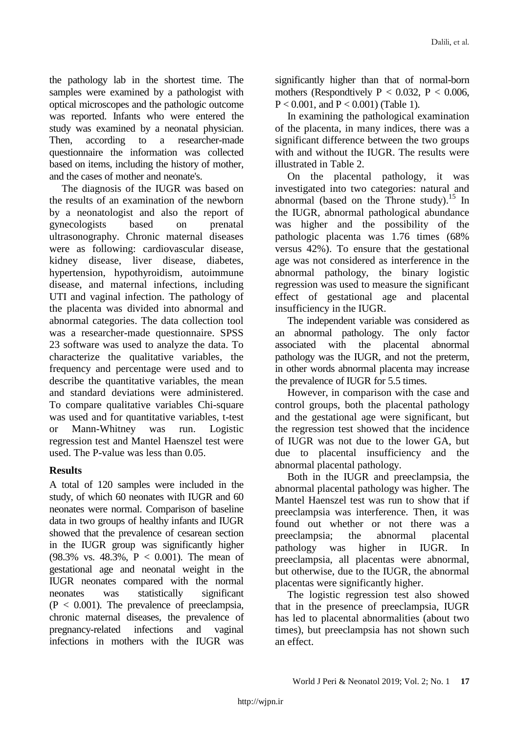the pathology lab in the shortest time. The samples were examined by a pathologist with optical microscopes and the pathologic outcome was reported. Infants who were entered the study was examined by a neonatal physician. Then, according to a researcher-made questionnaire the information was collected based on items, including the history of mother, and the cases of mother and neonate's.

The diagnosis of the IUGR was based on the results of an examination of the newborn by a neonatologist and also the report of gynecologists based on prenatal ultrasonography. Chronic maternal diseases were as following: cardiovascular disease, kidney disease, liver disease, diabetes, hypertension, hypothyroidism, autoimmune disease, and maternal infections, including UTI and vaginal infection. The pathology of the placenta was divided into abnormal and abnormal categories. The data collection tool was a researcher-made questionnaire. SPSS 23 software was used to analyze the data. To characterize the qualitative variables, the frequency and percentage were used and to describe the quantitative variables, the mean and standard deviations were administered. To compare qualitative variables Chi-square was used and for quantitative variables, t-test or Mann-Whitney was run. Logistic regression test and Mantel Haenszel test were used. The P-value was less than 0.05.

# **Results**

A total of 120 samples were included in the study, of which 60 neonates with IUGR and 60 neonates were normal. Comparison of baseline data in two groups of healthy infants and IUGR showed that the prevalence of cesarean section in the IUGR group was significantly higher (98.3% vs. 48.3%, P < 0.001). The mean of gestational age and neonatal weight in the IUGR neonates compared with the normal neonates was statistically significant  $(P < 0.001)$ . The prevalence of preeclampsia, chronic maternal diseases, the prevalence of pregnancy-related infections and vaginal infections in mothers with the IUGR was

significantly higher than that of normal-born mothers (Respondtively  $P < 0.032$ ,  $P < 0.006$ ,  $P < 0.001$ , and  $P < 0.001$ ) (Table 1).

In examining the pathological examination of the placenta, in many indices, there was a significant difference between the two groups with and without the IUGR. The results were illustrated in Table 2.

On the placental pathology, it was investigated into two categories: natural and abnormal (based on the Throne study).<sup>15</sup> In the IUGR, abnormal pathological abundance was higher and the possibility of the pathologic placenta was 1.76 times (68% versus 42%). To ensure that the gestational age was not considered as interference in the abnormal pathology, the binary logistic regression was used to measure the significant effect of gestational age and placental insufficiency in the IUGR.

The independent variable was considered as an abnormal pathology. The only factor associated with the placental abnormal pathology was the IUGR, and not the preterm, in other words abnormal placenta may increase the prevalence of IUGR for 5.5 times.

However, in comparison with the case and control groups, both the placental pathology and the gestational age were significant, but the regression test showed that the incidence of IUGR was not due to the lower GA, but due to placental insufficiency and the abnormal placental pathology.

Both in the IUGR and preeclampsia, the abnormal placental pathology was higher. The Mantel Haenszel test was run to show that if preeclampsia was interference. Then, it was found out whether or not there was a preeclampsia; the abnormal placental pathology was higher in IUGR. In preeclampsia, all placentas were abnormal, but otherwise, due to the IUGR, the abnormal placentas were significantly higher.

The logistic regression test also showed that in the presence of preeclampsia, IUGR has led to placental abnormalities (about two times), but preeclampsia has not shown such an effect.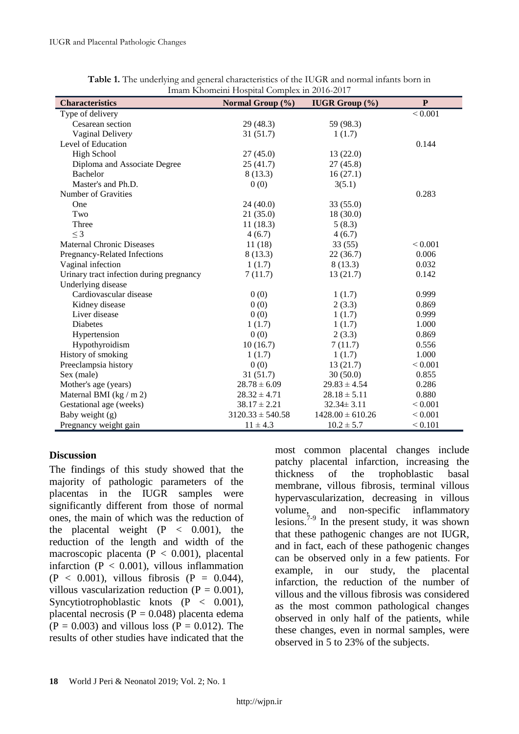| <b>Characteristics</b>                   | Normal Group $(\% )$ | <b>IUGR Group</b> $(\%)$ | ${\bf P}$    |
|------------------------------------------|----------------------|--------------------------|--------------|
| Type of delivery                         |                      |                          | ${}_{0.001}$ |
| Cesarean section                         | 29(48.3)             | 59 (98.3)                |              |
| Vaginal Delivery                         | 31(51.7)             | 1(1.7)                   |              |
| Level of Education                       |                      |                          | 0.144        |
| <b>High School</b>                       | 27(45.0)             | 13(22.0)                 |              |
| Diploma and Associate Degree             | 25(41.7)             | 27(45.8)                 |              |
| Bachelor                                 | 8(13.3)              | 16(27.1)                 |              |
| Master's and Ph.D.                       | 0(0)                 | 3(5.1)                   |              |
| Number of Gravities                      |                      |                          | 0.283        |
| One                                      | 24(40.0)             | 33 (55.0)                |              |
| Two                                      | 21(35.0)             | 18(30.0)                 |              |
| Three                                    | 11(18.3)             | 5(8.3)                   |              |
| $\leq$ 3                                 | 4(6.7)               | 4(6.7)                   |              |
| <b>Maternal Chronic Diseases</b>         | 11(18)               | 33(55)                   | ${}_{0.001}$ |
| Pregnancy-Related Infections             | 8(13.3)              | 22(36.7)                 | 0.006        |
| Vaginal infection                        | 1(1.7)               | 8(13.3)                  | 0.032        |
| Urinary tract infection during pregnancy | 7(11.7)              | 13(21.7)                 | 0.142        |
| Underlying disease                       |                      |                          |              |
| Cardiovascular disease                   | 0(0)                 | 1(1.7)                   | 0.999        |
| Kidney disease                           | 0(0)                 | 2(3.3)                   | 0.869        |
| Liver disease                            | 0(0)                 | 1(1.7)                   | 0.999        |
| <b>Diabetes</b>                          | 1(1.7)               | 1(1.7)                   | 1.000        |
| Hypertension                             | 0(0)                 | 2(3.3)                   | 0.869        |
| Hypothyroidism                           | 10(16.7)             | 7(11.7)                  | 0.556        |
| History of smoking                       | 1(1.7)               | 1(1.7)                   | 1.000        |
| Preeclampsia history                     | 0(0)                 | 13(21.7)                 | ${}_{0.001}$ |
| Sex (male)                               | 31(51.7)             | 30(50.0)                 | 0.855        |
| Mother's age (years)                     | $28.78 \pm 6.09$     | $29.83 \pm 4.54$         | 0.286        |
| Maternal BMI ( $\text{kg}/\text{m}$ 2)   | $28.32 \pm 4.71$     | $28.18 \pm 5.11$         | 0.880        |
| Gestational age (weeks)                  | $38.17 \pm 2.21$     | $32.34 \pm 3.11$         | ${}_{0.001}$ |
| Baby weight (g)                          | $3120.33 \pm 540.58$ | $1428.00 \pm 610.26$     | ${}_{0.001}$ |
| Pregnancy weight gain                    | $11 \pm 4.3$         | $10.2 \pm 5.7$           | ${}_{0.101}$ |

| Table 1. The underlying and general characteristics of the IUGR and normal infants born in |
|--------------------------------------------------------------------------------------------|
| Imam Khomeini Hospital Complex in 2016-2017                                                |

### **Discussion**

The findings of this study showed that the majority of pathologic parameters of the placentas in the IUGR samples were significantly different from those of normal ones, the main of which was the reduction of the placental weight  $(P < 0.001)$ , the reduction of the length and width of the macroscopic placenta ( $P < 0.001$ ), placental infarction ( $P < 0.001$ ), villous inflammation  $(P < 0.001)$ , villous fibrosis  $(P = 0.044)$ , villous vascularization reduction  $(P = 0.001)$ , Syncytiotrophoblastic knots (P < 0.001), placental necrosis ( $P = 0.048$ ) placenta edema  $(P = 0.003)$  and villous loss  $(P = 0.012)$ . The results of other studies have indicated that the

most common placental changes include patchy placental infarction, increasing the thickness of the trophoblastic basal membrane, villous fibrosis, terminal villous hypervascularization, decreasing in villous volume, and non-specific inflammatory lesions.<sup>7-9</sup> In the present study, it was shown that these pathogenic changes are not IUGR, and in fact, each of these pathogenic changes can be observed only in a few patients. For example, in our study, the placental infarction, the reduction of the number of villous and the villous fibrosis was considered as the most common pathological changes observed in only half of the patients, while these changes, even in normal samples, were observed in 5 to 23% of the subjects.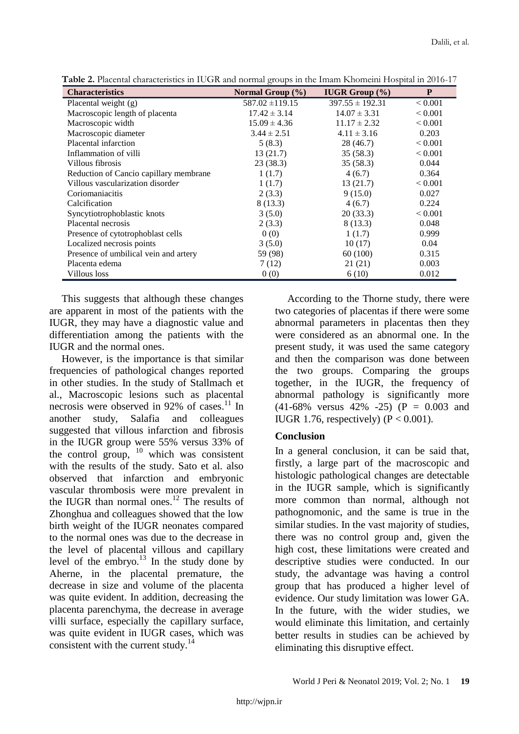| <b>Characteristics</b>                 | Normal Group $(\% )$ | <b>IUGR Group</b> $(\%)$ | P            |
|----------------------------------------|----------------------|--------------------------|--------------|
| Placental weight (g)                   | $587.02 \pm 119.15$  | $397.55 \pm 192.31$      | ${}_{0.001}$ |
| Macroscopic length of placenta         | $17.42 \pm 3.14$     | $14.07 \pm 3.31$         | ${}_{0.001}$ |
| Macroscopic width                      | $15.09 \pm 4.36$     | $11.17 \pm 2.32$         | ${}_{0.001}$ |
| Macroscopic diameter                   | $3.44 \pm 2.51$      | $4.11 \pm 3.16$          | 0.203        |
| Placental infarction                   | 5(8.3)               | 28 (46.7)                | ${}_{0.001}$ |
| Inflammation of villi                  | 13(21.7)             | 35(58.3)                 | ${}_{0.001}$ |
| Villous fibrosis                       | 23(38.3)             | 35(58.3)                 | 0.044        |
| Reduction of Cancio capillary membrane | 1(1.7)               | 4(6.7)                   | 0.364        |
| Villous vascularization disorder       | 1(1.7)               | 13(21.7)                 | ${}_{0.001}$ |
| Coriomaniacitis                        | 2(3.3)               | 9(15.0)                  | 0.027        |
| Calcification                          | 8(13.3)              | 4(6.7)                   | 0.224        |
| Syncytiotrophoblastic knots            | 3(5.0)               | 20(33.3)                 | ${}_{0.001}$ |
| Placental necrosis                     | 2(3.3)               | 8 (13.3)                 | 0.048        |
| Presence of cytotrophoblast cells      | 0(0)                 | 1(1.7)                   | 0.999        |
| Localized necrosis points              | 3(5.0)               | 10(17)                   | 0.04         |
| Presence of umbilical vein and artery  | 59 (98)              | 60 (100)                 | 0.315        |
| Placenta edema                         | 7(12)                | 21 (21)                  | 0.003        |
| Villous loss                           | 0(0)                 | 6 (10)                   | 0.012        |

**Table 2.** Placental characteristics in IUGR and normal groups in the Imam Khomeini Hospital in 2016-17

This suggests that although these changes are apparent in most of the patients with the IUGR, they may have a diagnostic value and differentiation among the patients with the IUGR and the normal ones.

However, is the importance is that similar frequencies of pathological changes reported in other studies. In the study of Stallmach et al., Macroscopic lesions such as placental necrosis were observed in 92% of cases.<sup>11</sup> In another study, Salafia and colleagues suggested that villous infarction and fibrosis in the IUGR group were 55% versus 33% of the control group,  $10$  which was consistent with the results of the study. Sato et al. also observed that infarction and embryonic vascular thrombosis were more prevalent in the IUGR than normal ones.<sup>12</sup> The results of Zhonghua and colleagues showed that the low birth weight of the IUGR neonates compared to the normal ones was due to the decrease in the level of placental villous and capillary level of the embryo. $13$  In the study done by Aherne, in the placental premature, the decrease in size and volume of the placenta was quite evident. In addition, decreasing the placenta parenchyma, the decrease in average villi surface, especially the capillary surface, was quite evident in IUGR cases, which was consistent with the current study. $^{14}$ 

According to the Thorne study, there were two categories of placentas if there were some abnormal parameters in placentas then they were considered as an abnormal one. In the present study, it was used the same category and then the comparison was done between the two groups. Comparing the groups together, in the IUGR, the frequency of abnormal pathology is significantly more  $(41-68\%$  versus  $42\%$  -25) (P = 0.003 and IUGR 1.76, respectively) ( $P < 0.001$ ).

# **Conclusion**

In a general conclusion, it can be said that, firstly, a large part of the macroscopic and histologic pathological changes are detectable in the IUGR sample, which is significantly more common than normal, although not pathognomonic, and the same is true in the similar studies. In the vast majority of studies, there was no control group and, given the high cost, these limitations were created and descriptive studies were conducted. In our study, the advantage was having a control group that has produced a higher level of evidence. Our study limitation was lower GA. In the future, with the wider studies, we would eliminate this limitation, and certainly better results in studies can be achieved by eliminating this disruptive effect.